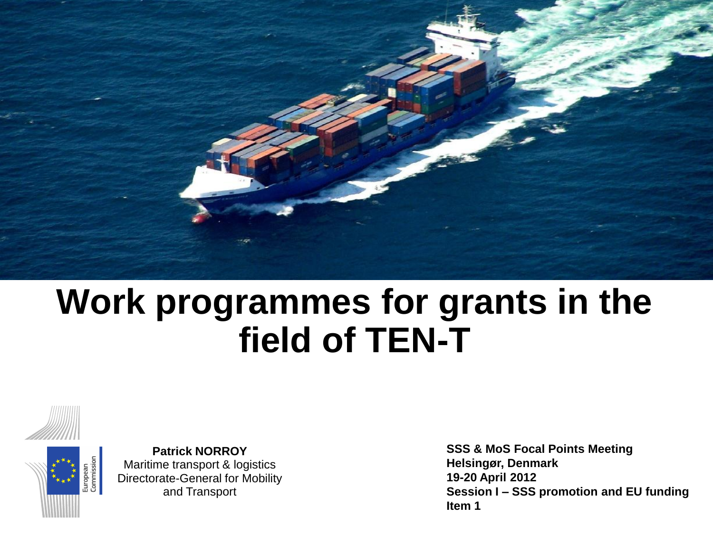

# **Work programmes for grants in the field of TEN-T**





**Patrick NORROY** Maritime transport & logistics Directorate-General for Mobility and Transport

**SSS & MoS Focal Points Meeting Helsingør, Denmark 19-20 April 2012 Session I – SSS promotion and EU funding Item 1**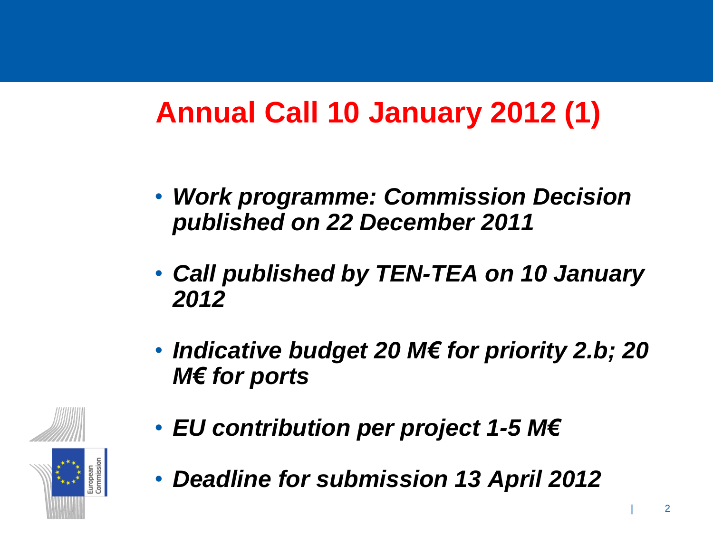# **Annual Call 10 January 2012 (1)**

- *Work programme: Commission Decision published on 22 December 2011*
- *Call published by TEN-TEA on 10 January 2012*
- *Indicative budget 20 M€ for priority 2.b; 20 M€ for ports*
- *EU contribution per project 1-5 M€*



• *Deadline for submission 13 April 2012*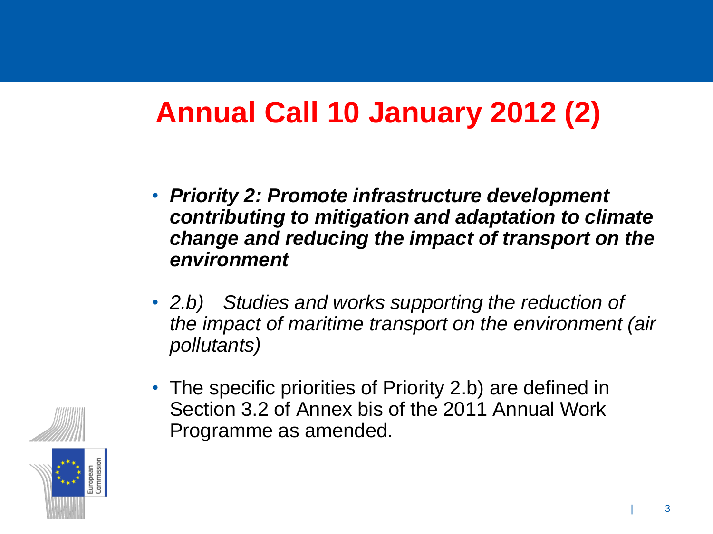# **Annual Call 10 January 2012 (2)**

- *Priority 2: Promote infrastructure development contributing to mitigation and adaptation to climate change and reducing the impact of transport on the environment*
- *2.b) Studies and works supporting the reduction of the impact of maritime transport on the environment (air pollutants)*
- The specific priorities of Priority 2.b) are defined in Section 3.2 of Annex bis of the 2011 Annual Work Programme as amended.

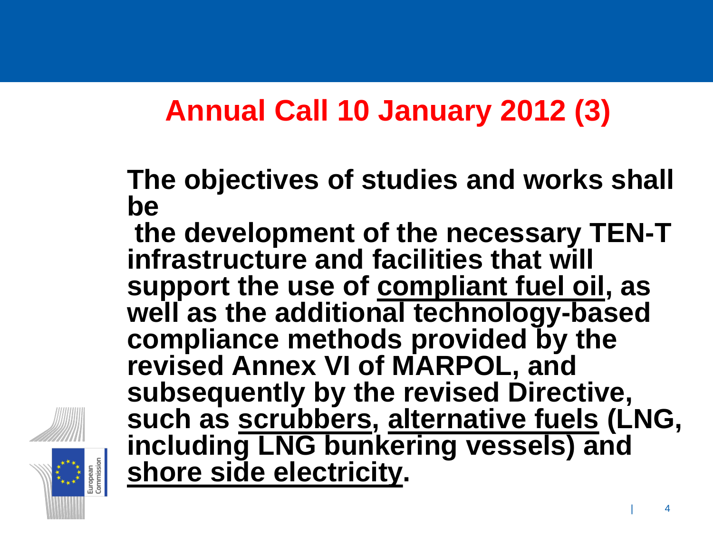#### **Annual Call 10 January 2012 (3)**

**The objectives of studies and works shall be**

**the development of the necessary TEN-T infrastructure and facilities that will support the use of compliant fuel oil, as well as the additional technology-based compliance methods provided by the revised Annex VI of MARPOL, and subsequently by the revised Directive, such as scrubbers, alternative fuels (LNG, including LNG bunkering vessels) and shore side electricity.**

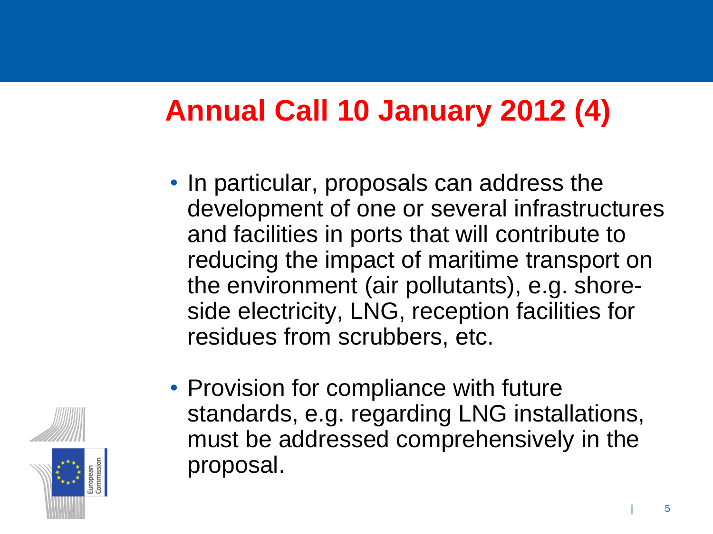### **Annual Call 10 January 2012 (4)**

• In particular, proposals can address the development of one or several infrastructures and facilities in ports that will contribute to reducing the impact of maritime transport on the environment (air pollutants), e.g. shoreside electricity, LNG, reception facilities for residues from scrubbers, etc.



• Provision for compliance with future standards, e.g. regarding LNG installations, must be addressed comprehensively in the proposal.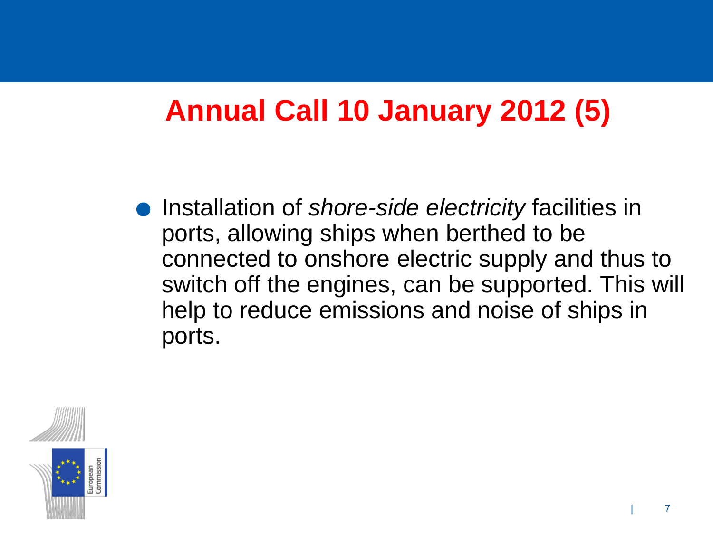#### **Annual Call 10 January 2012 (5)**

.Installation of *shore-side electricity* facilities in ports, allowing ships when berthed to be connected to onshore electric supply and thus to switch off the engines, can be supported. This will help to reduce emissions and noise of ships in ports.

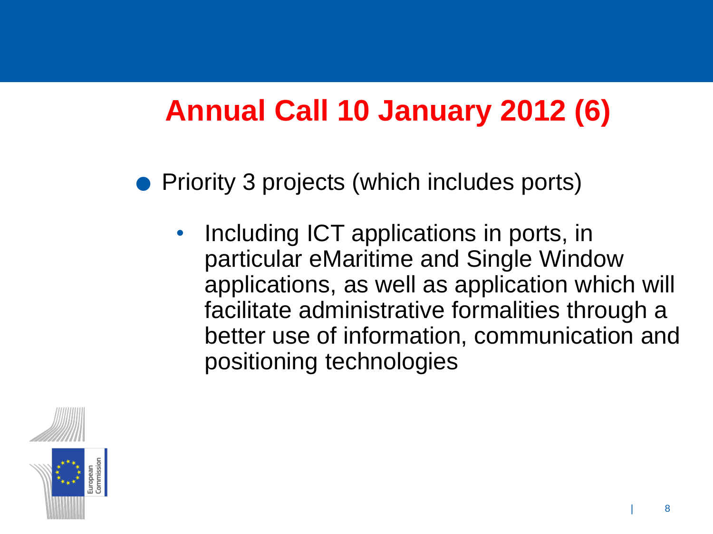### **Annual Call 10 January 2012 (6)**

.Priority 3 projects (which includes ports)

Including ICT applications in ports, in particular eMaritime and Single Window applications, as well as application which will facilitate administrative formalities through a better use of information, communication and positioning technologies

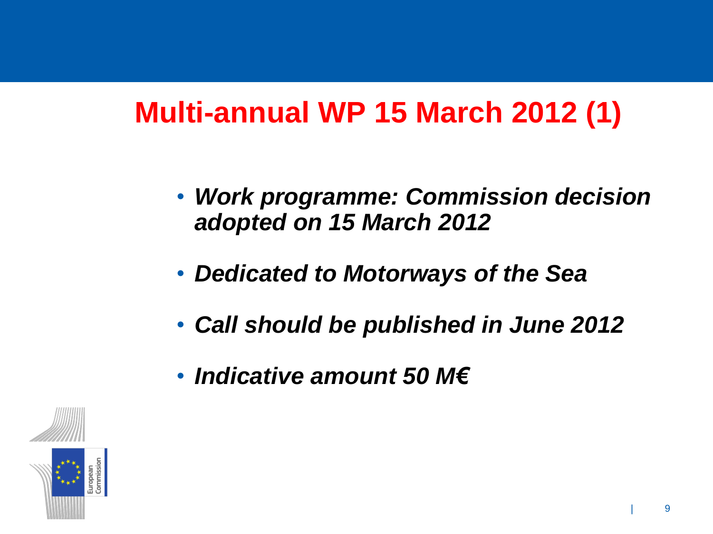### **Multi-annual WP 15 March 2012 (1)**

- *Work programme: Commission decision adopted on 15 March 2012*
- *Dedicated to Motorways of the Sea*
- *Call should be published in June 2012*
- *Indicative amount 50 M€*

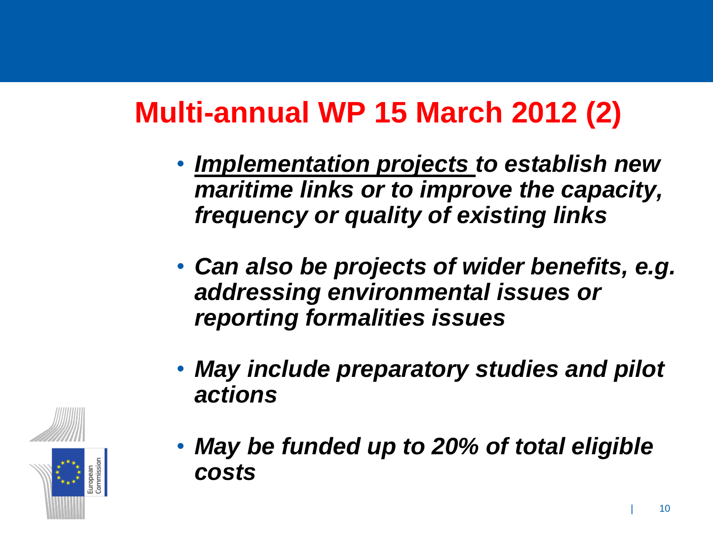# **Multi-annual WP 15 March 2012 (2)**

- *Implementation projects to establish new maritime links or to improve the capacity, frequency or quality of existing links*
- *Can also be projects of wider benefits, e.g. addressing environmental issues or reporting formalities issues*
- *May include preparatory studies and pilot actions*



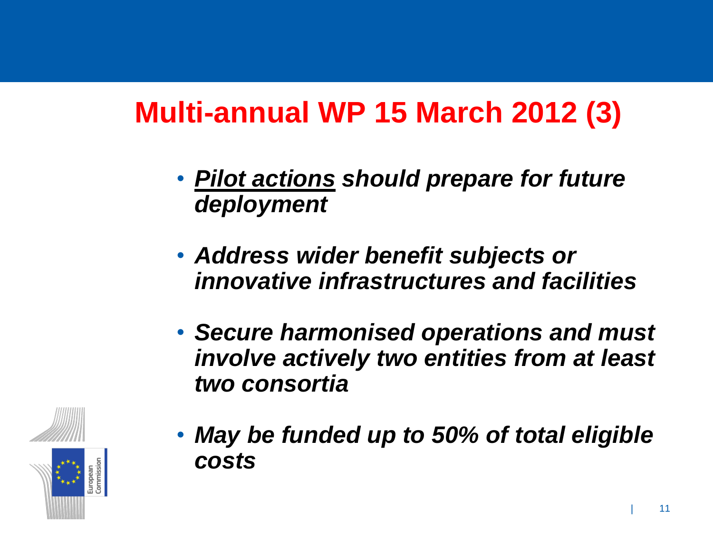### **Multi-annual WP 15 March 2012 (3)**

- *Pilot actions should prepare for future deployment*
- *Address wider benefit subjects or innovative infrastructures and facilities*
- *Secure harmonised operations and must involve actively two entities from at least two consortia*



• *May be funded up to 50% of total eligible costs*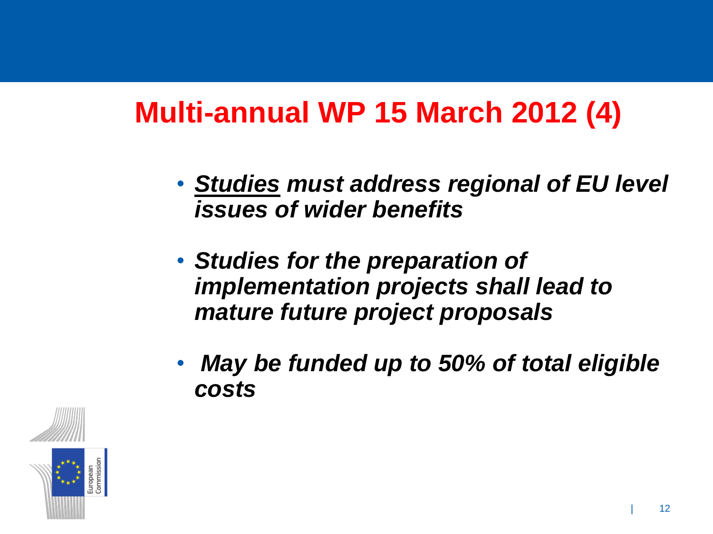#### **Multi-annual WP 15 March 2012 (4)**

- *Studies must address regional of EU level issues of wider benefits*
- *Studies for the preparation of implementation projects shall lead to mature future project proposals*
- *May be funded up to 50% of total eligible costs*

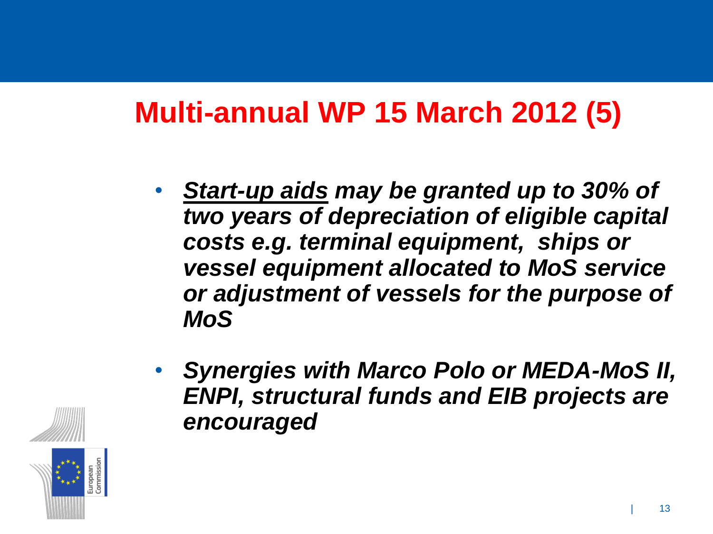#### **Multi-annual WP 15 March 2012 (5)**

- *Start-up aids may be granted up to 30% of two years of depreciation of eligible capital costs e.g. terminal equipment, ships or vessel equipment allocated to MoS service or adjustment of vessels for the purpose of MoS*
- *Synergies with Marco Polo or MEDA-MoS II, ENPI, structural funds and EIB projects are encouraged*

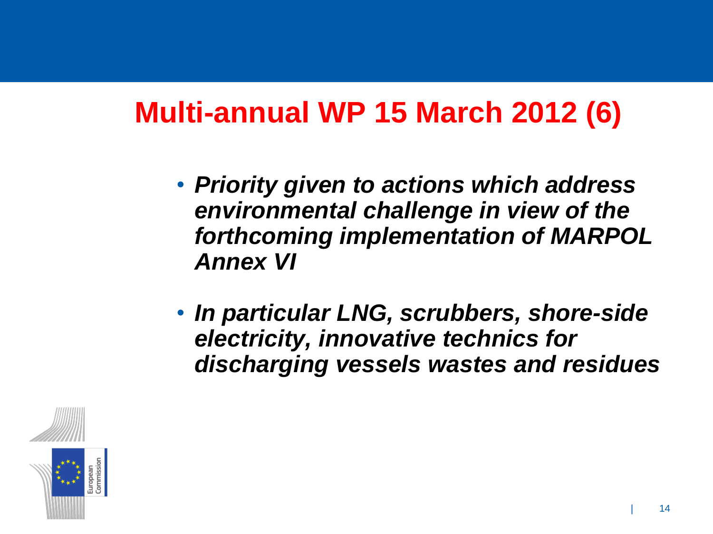#### **Multi-annual WP 15 March 2012 (6)**

- *Priority given to actions which address environmental challenge in view of the forthcoming implementation of MARPOL Annex VI*
- *In particular LNG, scrubbers, shore-side electricity, innovative technics for discharging vessels wastes and residues*

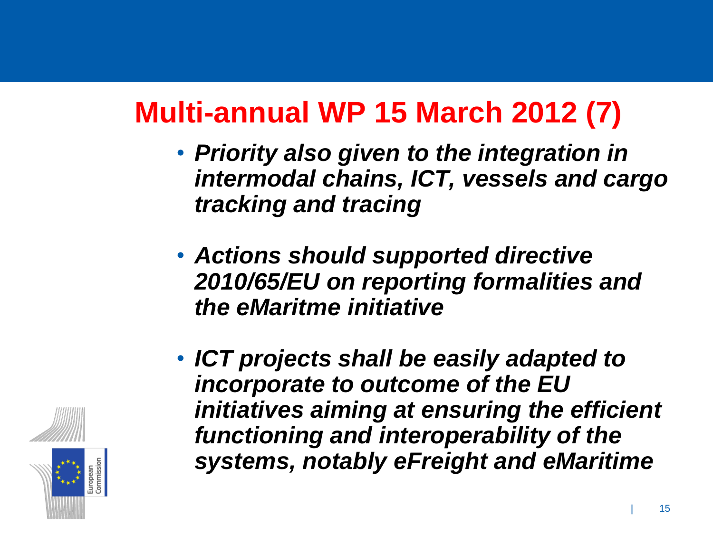# **Multi-annual WP 15 March 2012 (7)**

- *Priority also given to the integration in intermodal chains, ICT, vessels and cargo tracking and tracing*
- *Actions should supported directive 2010/65/EU on reporting formalities and the eMaritme initiative*
- *ICT projects shall be easily adapted to incorporate to outcome of the EU initiatives aiming at ensuring the efficient functioning and interoperability of the systems, notably eFreight and eMaritime*

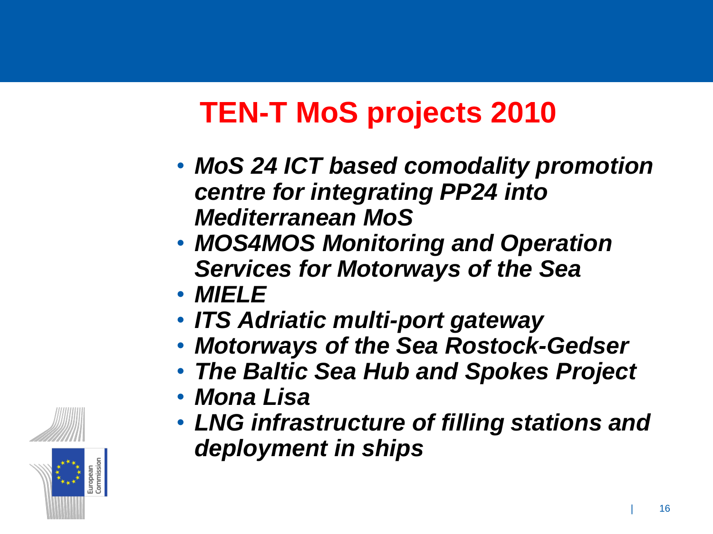# **TEN-T MoS projects 2010**

- *MoS 24 ICT based comodality promotion centre for integrating PP24 into Mediterranean MoS*
- *MOS4MOS Monitoring and Operation Services for Motorways of the Sea*
- *MIELE*
- *ITS Adriatic multi-port gateway*
- *Motorways of the Sea Rostock-Gedser*
- *The Baltic Sea Hub and Spokes Project*
- *Mona Lisa*
- *LNG infrastructure of filling stations and deployment in ships*

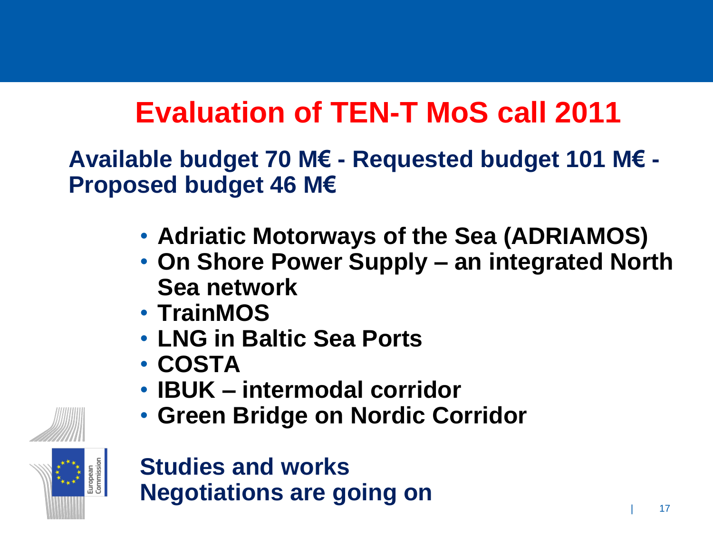# **Evaluation of TEN-T MoS call 2011**

**Available budget 70 M€ - Requested budget 101 M€ - Proposed budget 46 M€**

- **Adriatic Motorways of the Sea (ADRIAMOS)**
- **On Shore Power Supply – an integrated North Sea network**
- **TrainMOS**
- **LNG in Baltic Sea Ports**
- **COSTA**
- **IBUK – intermodal corridor**
- **Green Bridge on Nordic Corridor**



#### **Studies and works Negotiations are going on**